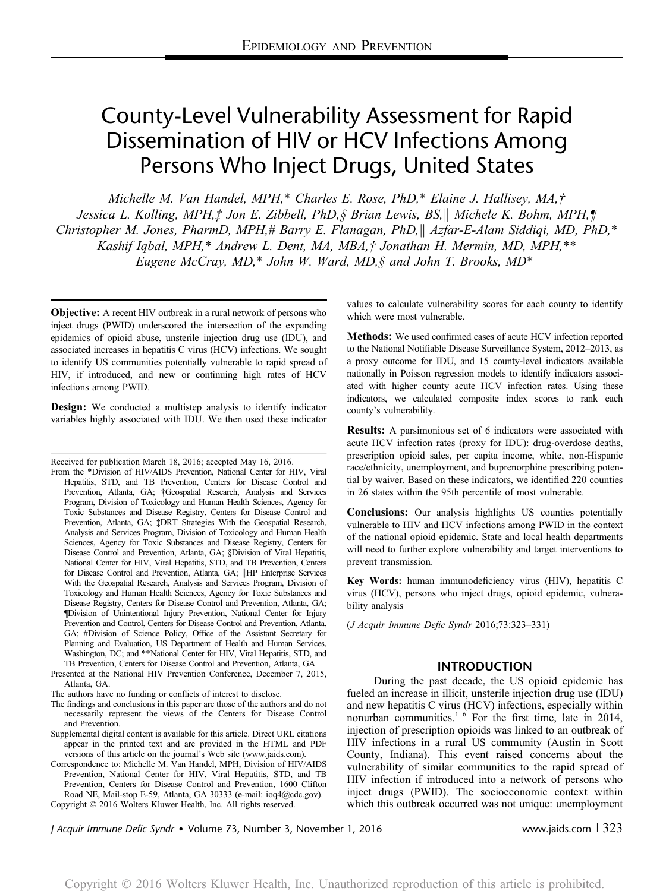# County-Level Vulnerability Assessment for Rapid Dissemination of HIV or HCV Infections Among Persons Who Inject Drugs, United States

Michelle M. Van Handel, MPH,\* Charles E. Rose, PhD,\* Elaine J. Hallisey, MA,† Jessica L. Kolling, MPH, $\ddagger$  Jon E. Zibbell, PhD, § Brian Lewis, BS, || Michele K. Bohm, MPH, ¶ Christopher M. Jones, PharmD, MPH,# Barry E. Flanagan, PhD,  $\parallel$  Azfar-E-Alam Siddiqi, MD, PhD,\* Kashif Iqbal, MPH,\* Andrew L. Dent, MA, MBA,† Jonathan H. Mermin, MD, MPH,\*\* Eugene McCray, MD,\* John W. Ward, MD, § and John T. Brooks, MD\*

**Objective:** A recent HIV outbreak in a rural network of persons who inject drugs (PWID) underscored the intersection of the expanding epidemics of opioid abuse, unsterile injection drug use (IDU), and associated increases in hepatitis C virus (HCV) infections. We sought to identify US communities potentially vulnerable to rapid spread of HIV, if introduced, and new or continuing high rates of HCV infections among PWID.

**Design:** We conducted a multistep analysis to identify indicator variables highly associated with IDU. We then used these indicator

Received for publication March 18, 2016; accepted May 16, 2016.

From the \*Division of HIV/AIDS Prevention, National Center for HIV, Viral Hepatitis, STD, and TB Prevention, Centers for Disease Control and Prevention, Atlanta, GA; †Geospatial Research, Analysis and Services Program, Division of Toxicology and Human Health Sciences, Agency for Toxic Substances and Disease Registry, Centers for Disease Control and Prevention, Atlanta, GA; ‡DRT Strategies With the Geospatial Research, Analysis and Services Program, Division of Toxicology and Human Health Sciences, Agency for Toxic Substances and Disease Registry, Centers for Disease Control and Prevention, Atlanta, GA; §Division of Viral Hepatitis, National Center for HIV, Viral Hepatitis, STD, and TB Prevention, Centers for Disease Control and Prevention, Atlanta, GA; <sup>|</sup>|HP Enterprise Services With the Geospatial Research, Analysis and Services Program, Division of Toxicology and Human Health Sciences, Agency for Toxic Substances and Disease Registry, Centers for Disease Control and Prevention, Atlanta, GA; ¶Division of Unintentional Injury Prevention, National Center for Injury Prevention and Control, Centers for Disease Control and Prevention, Atlanta, GA; #Division of Science Policy, Office of the Assistant Secretary for Planning and Evaluation, US Department of Health and Human Services, Washington, DC; and \*\*National Center for HIV, Viral Hepatitis, STD, and TB Prevention, Centers for Disease Control and Prevention, Atlanta, GA

Presented at the National HIV Prevention Conference, December 7, 2015, Atlanta, GA.

The authors have no funding or conflicts of interest to disclose.

The findings and conclusions in this paper are those of the authors and do not necessarily represent the views of the Centers for Disease Control and Prevention.

Supplemental digital content is available for this article. Direct URL citations appear in the printed text and are provided in the HTML and PDF versions of this article on the journal's Web site ([www.jaids.com](http://www.jaids.com)).

Correspondence to: Michelle M. Van Handel, MPH, Division of HIV/AIDS Prevention, National Center for HIV, Viral Hepatitis, STD, and TB Prevention, Centers for Disease Control and Prevention, 1600 Clifton Road NE, Mail-stop E-59, Atlanta, GA 30333 (e-mail: [ioq4@cdc.gov](mailto:ioq4@cdc.gov)). Copyright © 2016 Wolters Kluwer Health, Inc. All rights reserved.

values to calculate vulnerability scores for each county to identify which were most vulnerable.

Methods: We used confirmed cases of acute HCV infection reported to the National Notifiable Disease Surveillance System, 2012–2013, as a proxy outcome for IDU, and 15 county-level indicators available nationally in Poisson regression models to identify indicators associated with higher county acute HCV infection rates. Using these indicators, we calculated composite index scores to rank each county's vulnerability.

Results: A parsimonious set of 6 indicators were associated with acute HCV infection rates (proxy for IDU): drug-overdose deaths, prescription opioid sales, per capita income, white, non-Hispanic race/ethnicity, unemployment, and buprenorphine prescribing potential by waiver. Based on these indicators, we identified 220 counties in 26 states within the 95th percentile of most vulnerable.

Conclusions: Our analysis highlights US counties potentially vulnerable to HIV and HCV infections among PWID in the context of the national opioid epidemic. State and local health departments will need to further explore vulnerability and target interventions to prevent transmission.

Key Words: human immunodeficiency virus (HIV), hepatitis C virus (HCV), persons who inject drugs, opioid epidemic, vulnerability analysis

(J Acquir Immune Defic Syndr 2016;73:323–331)

# INTRODUCTION

During the past decade, the US opioid epidemic has fueled an increase in illicit, unsterile injection drug use (IDU) and new hepatitis C virus (HCV) infections, especially within nonurban communities. $1-6$  For the first time, late in 2014, injection of prescription opioids was linked to an outbreak of HIV infections in a rural US community (Austin in Scott County, Indiana). This event raised concerns about the vulnerability of similar communities to the rapid spread of HIV infection if introduced into a network of persons who inject drugs (PWID). The socioeconomic context within which this outbreak occurred was not unique: unemployment

J Acquir Immune Defic Syndr • Volume 73, Number 3, November 1, 2016 **Warell Constant Constant Constant Constant**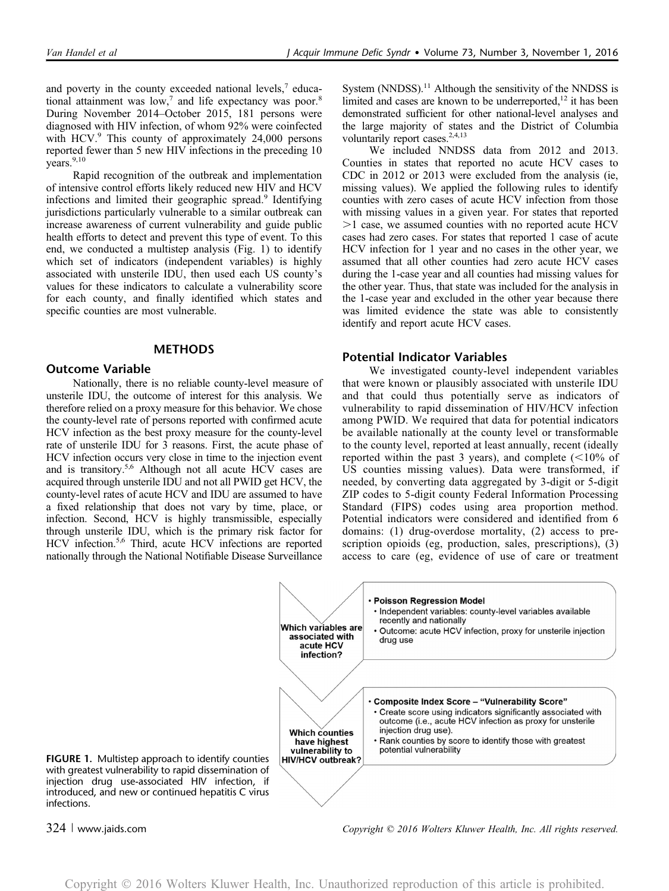and poverty in the county exceeded national levels, $7$  educational attainment was low,<sup>7</sup> and life expectancy was poor.<sup>8</sup> During November 2014–October 2015, 181 persons were diagnosed with HIV infection, of whom 92% were coinfected with HCV.<sup>9</sup> This county of approximately 24,000 persons reported fewer than 5 new HIV infections in the preceding 10  $years.<sup>9,10</sup>$ 

Rapid recognition of the outbreak and implementation of intensive control efforts likely reduced new HIV and HCV infections and limited their geographic spread.<sup>9</sup> Identifying jurisdictions particularly vulnerable to a similar outbreak can increase awareness of current vulnerability and guide public health efforts to detect and prevent this type of event. To this end, we conducted a multistep analysis (Fig. 1) to identify which set of indicators (independent variables) is highly associated with unsterile IDU, then used each US county's values for these indicators to calculate a vulnerability score for each county, and finally identified which states and specific counties are most vulnerable.

# **METHODS**

### Outcome Variable

Nationally, there is no reliable county-level measure of unsterile IDU, the outcome of interest for this analysis. We therefore relied on a proxy measure for this behavior. We chose the county-level rate of persons reported with confirmed acute HCV infection as the best proxy measure for the county-level rate of unsterile IDU for 3 reasons. First, the acute phase of HCV infection occurs very close in time to the injection event and is transitory.<sup>5,6</sup> Although not all acute HCV cases are acquired through unsterile IDU and not all PWID get HCV, the county-level rates of acute HCV and IDU are assumed to have a fixed relationship that does not vary by time, place, or infection. Second, HCV is highly transmissible, especially through unsterile IDU, which is the primary risk factor for HCV infection.<sup>5,6</sup> Third, acute HCV infections are reported nationally through the National Notifiable Disease Surveillance

System  $(NNDSS)$ .<sup>11</sup> Although the sensitivity of the NNDSS is limited and cases are known to be underreported, $^{12}$  it has been demonstrated sufficient for other national-level analyses and the large majority of states and the District of Columbia voluntarily report cases.<sup>2,4,13</sup>

We included NNDSS data from 2012 and 2013. Counties in states that reported no acute HCV cases to CDC in 2012 or 2013 were excluded from the analysis (ie, missing values). We applied the following rules to identify counties with zero cases of acute HCV infection from those with missing values in a given year. For states that reported  $>1$  case, we assumed counties with no reported acute HCV cases had zero cases. For states that reported 1 case of acute HCV infection for 1 year and no cases in the other year, we assumed that all other counties had zero acute HCV cases during the 1-case year and all counties had missing values for the other year. Thus, that state was included for the analysis in the 1-case year and excluded in the other year because there was limited evidence the state was able to consistently identify and report acute HCV cases.

# Potential Indicator Variables

We investigated county-level independent variables that were known or plausibly associated with unsterile IDU and that could thus potentially serve as indicators of vulnerability to rapid dissemination of HIV/HCV infection among PWID. We required that data for potential indicators be available nationally at the county level or transformable to the county level, reported at least annually, recent (ideally reported within the past 3 years), and complete  $(<10\%$  of US counties missing values). Data were transformed, if needed, by converting data aggregated by 3-digit or 5-digit ZIP codes to 5-digit county Federal Information Processing Standard (FIPS) codes using area proportion method. Potential indicators were considered and identified from 6 domains: (1) drug-overdose mortality, (2) access to prescription opioids (eg, production, sales, prescriptions), (3) access to care (eg, evidence of use of care or treatment



FIGURE 1. Multistep approach to identify counties with greatest vulnerability to rapid dissemination of injection drug use-associated HIV infection, if introduced, and new or continued hepatitis C virus infections.

<sup>324</sup> <sup>|</sup> www.jaids.com Copyright © 2016 Wolters Kluwer Health, Inc. All rights reserved.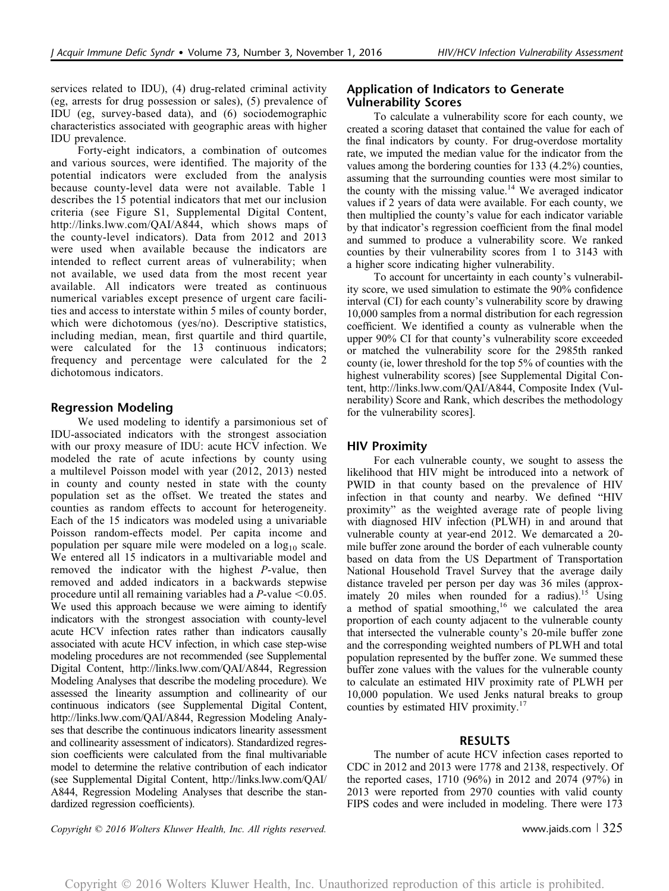services related to IDU), (4) drug-related criminal activity (eg, arrests for drug possession or sales), (5) prevalence of IDU (eg, survey-based data), and (6) sociodemographic characteristics associated with geographic areas with higher IDU prevalence.

Forty-eight indicators, a combination of outcomes and various sources, were identified. The majority of the potential indicators were excluded from the analysis because county-level data were not available. Table 1 describes the 15 potential indicators that met our inclusion criteria (see Figure S1, Supplemental Digital Content, [http://links.lww.com/QAI/A844,](http://links.lww.com/QAI/A844) which shows maps of the county-level indicators). Data from 2012 and 2013 were used when available because the indicators are intended to reflect current areas of vulnerability; when not available, we used data from the most recent year available. All indicators were treated as continuous numerical variables except presence of urgent care facilities and access to interstate within 5 miles of county border, which were dichotomous (yes/no). Descriptive statistics, including median, mean, first quartile and third quartile, were calculated for the 13 continuous indicators; frequency and percentage were calculated for the 2 dichotomous indicators.

# Regression Modeling

We used modeling to identify a parsimonious set of IDU-associated indicators with the strongest association with our proxy measure of IDU: acute HCV infection. We modeled the rate of acute infections by county using a multilevel Poisson model with year (2012, 2013) nested in county and county nested in state with the county population set as the offset. We treated the states and counties as random effects to account for heterogeneity. Each of the 15 indicators was modeled using a univariable Poisson random-effects model. Per capita income and population per square mile were modeled on a  $log_{10}$  scale. We entered all 15 indicators in a multivariable model and removed the indicator with the highest P-value, then removed and added indicators in a backwards stepwise procedure until all remaining variables had a  $P$ -value < 0.05. We used this approach because we were aiming to identify indicators with the strongest association with county-level acute HCV infection rates rather than indicators causally associated with acute HCV infection, in which case step-wise modeling procedures are not recommended (see Supplemental Digital Content,<http://links.lww.com/QAI/A844>, Regression Modeling Analyses that describe the modeling procedure). We assessed the linearity assumption and collinearity of our continuous indicators (see Supplemental Digital Content, <http://links.lww.com/QAI/A844>, Regression Modeling Analyses that describe the continuous indicators linearity assessment and collinearity assessment of indicators). Standardized regression coefficients were calculated from the final multivariable model to determine the relative contribution of each indicator (see Supplemental Digital Content, [http://links.lww.com/QAI/](http://links.lww.com/QAI/A844) [A844,](http://links.lww.com/QAI/A844) Regression Modeling Analyses that describe the standardized regression coefficients).

# Application of Indicators to Generate Vulnerability Scores

To calculate a vulnerability score for each county, we created a scoring dataset that contained the value for each of the final indicators by county. For drug-overdose mortality rate, we imputed the median value for the indicator from the values among the bordering counties for 133 (4.2%) counties, assuming that the surrounding counties were most similar to the county with the missing value.<sup>14</sup> We averaged indicator values if 2 years of data were available. For each county, we then multiplied the county's value for each indicator variable by that indicator's regression coefficient from the final model and summed to produce a vulnerability score. We ranked counties by their vulnerability scores from 1 to 3143 with a higher score indicating higher vulnerability.

To account for uncertainty in each county's vulnerability score, we used simulation to estimate the 90% confidence interval (CI) for each county's vulnerability score by drawing 10,000 samples from a normal distribution for each regression coefficient. We identified a county as vulnerable when the upper 90% CI for that county's vulnerability score exceeded or matched the vulnerability score for the 2985th ranked county (ie, lower threshold for the top 5% of counties with the highest vulnerability scores) [see Supplemental Digital Content,<http://links.lww.com/QAI/A844>, Composite Index (Vulnerability) Score and Rank, which describes the methodology for the vulnerability scores].

# HIV Proximity

For each vulnerable county, we sought to assess the likelihood that HIV might be introduced into a network of PWID in that county based on the prevalence of HIV infection in that county and nearby. We defined "HIV proximity" as the weighted average rate of people living with diagnosed HIV infection (PLWH) in and around that vulnerable county at year-end 2012. We demarcated a 20 mile buffer zone around the border of each vulnerable county based on data from the US Department of Transportation National Household Travel Survey that the average daily distance traveled per person per day was 36 miles (approximately 20 miles when rounded for a radius).<sup>15</sup> Using a method of spatial smoothing, $16$  we calculated the area proportion of each county adjacent to the vulnerable county that intersected the vulnerable county's 20-mile buffer zone and the corresponding weighted numbers of PLWH and total population represented by the buffer zone. We summed these buffer zone values with the values for the vulnerable county to calculate an estimated HIV proximity rate of PLWH per 10,000 population. We used Jenks natural breaks to group counties by estimated HIV proximity.<sup>17</sup>

# RESULTS

The number of acute HCV infection cases reported to CDC in 2012 and 2013 were 1778 and 2138, respectively. Of the reported cases, 1710 (96%) in 2012 and 2074 (97%) in 2013 were reported from 2970 counties with valid county FIPS codes and were included in modeling. There were 173

Copyright  $\heartsuit$  2016 Wolters Kluwer Health, Inc. All rights reserved. www.jaids.com | 325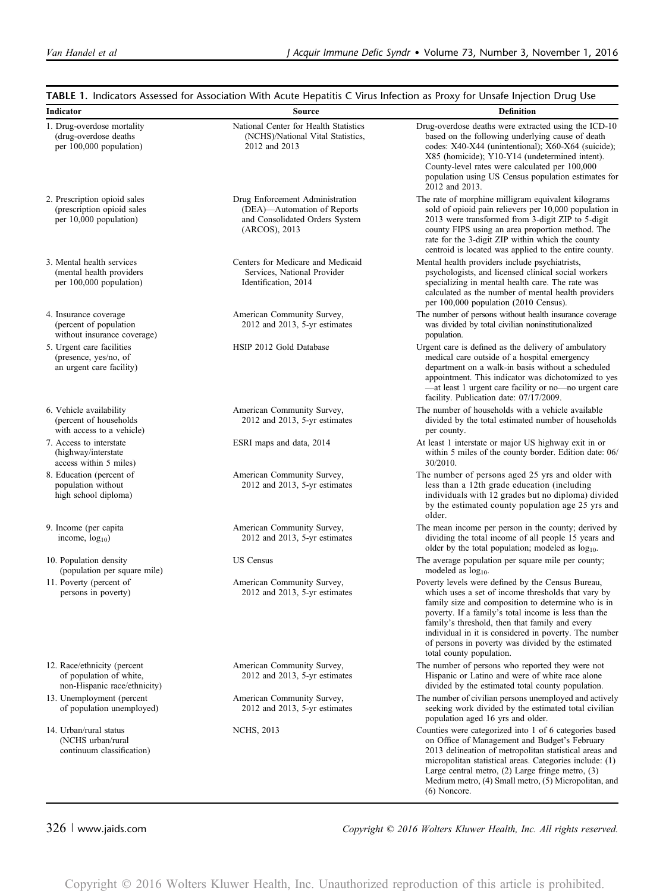| Indicator                                                                               | <b>Source</b>                                                                                                     | <b>Definition</b>                                                                                                                                                                                                                                                                                                                                                                                                  |  |  |  |
|-----------------------------------------------------------------------------------------|-------------------------------------------------------------------------------------------------------------------|--------------------------------------------------------------------------------------------------------------------------------------------------------------------------------------------------------------------------------------------------------------------------------------------------------------------------------------------------------------------------------------------------------------------|--|--|--|
| 1. Drug-overdose mortality<br>(drug-overdose deaths)<br>per 100,000 population)         | National Center for Health Statistics<br>(NCHS)/National Vital Statistics,<br>2012 and 2013                       | Drug-overdose deaths were extracted using the ICD-10<br>based on the following underlying cause of death<br>codes: X40-X44 (unintentional); X60-X64 (suicide);<br>X85 (homicide); Y10-Y14 (undetermined intent).<br>County-level rates were calculated per 100,000<br>population using US Census population estimates for<br>2012 and 2013.                                                                        |  |  |  |
| 2. Prescription opioid sales<br>(prescription opioid sales<br>per 10,000 population)    | Drug Enforcement Administration<br>(DEA)-Automation of Reports<br>and Consolidated Orders System<br>(ARCOS), 2013 | The rate of morphine milligram equivalent kilograms<br>sold of opioid pain relievers per 10,000 population in<br>2013 were transformed from 3-digit ZIP to 5-digit<br>county FIPS using an area proportion method. The<br>rate for the 3-digit ZIP within which the county<br>centroid is located was applied to the entire county.                                                                                |  |  |  |
| 3. Mental health services<br>(mental health providers)<br>per 100,000 population)       | Centers for Medicare and Medicaid<br>Services, National Provider<br>Identification, 2014                          | Mental health providers include psychiatrists,<br>psychologists, and licensed clinical social workers<br>specializing in mental health care. The rate was<br>calculated as the number of mental health providers<br>per 100,000 population (2010 Census).                                                                                                                                                          |  |  |  |
| 4. Insurance coverage<br>(percent of population)<br>without insurance coverage)         | American Community Survey,<br>$2012$ and $2013$ , 5-yr estimates                                                  | The number of persons without health insurance coverage<br>was divided by total civilian noninstitutionalized<br>population.                                                                                                                                                                                                                                                                                       |  |  |  |
| 5. Urgent care facilities<br>(presence, yes/no, of<br>an urgent care facility)          | HSIP 2012 Gold Database                                                                                           | Urgent care is defined as the delivery of ambulatory<br>medical care outside of a hospital emergency<br>department on a walk-in basis without a scheduled<br>appointment. This indicator was dichotomized to yes<br>-at least 1 urgent care facility or no-no urgent care<br>facility. Publication date: 07/17/2009.                                                                                               |  |  |  |
| 6. Vehicle availability<br>(percent of households)<br>with access to a vehicle)         | American Community Survey,<br>2012 and 2013, 5-yr estimates                                                       | The number of households with a vehicle available<br>divided by the total estimated number of households<br>per county.                                                                                                                                                                                                                                                                                            |  |  |  |
| 7. Access to interstate<br>(highway/interstate)<br>access within 5 miles)               | ESRI maps and data, 2014                                                                                          | At least 1 interstate or major US highway exit in or<br>within 5 miles of the county border. Edition date: 06/<br>30/2010.                                                                                                                                                                                                                                                                                         |  |  |  |
| 8. Education (percent of<br>population without<br>high school diploma)                  | American Community Survey,<br>$2012$ and $2013$ , 5-yr estimates                                                  | The number of persons aged 25 yrs and older with<br>less than a 12th grade education (including<br>individuals with 12 grades but no diploma) divided<br>by the estimated county population age 25 yrs and<br>older.                                                                                                                                                                                               |  |  |  |
| 9. Income (per capita<br>income, $log_{10}$ )                                           | American Community Survey,<br>$2012$ and $2013$ , 5-yr estimates                                                  | The mean income per person in the county; derived by<br>dividing the total income of all people 15 years and<br>older by the total population; modeled as $log_{10}$ .                                                                                                                                                                                                                                             |  |  |  |
| 10. Population density<br>(population per square mile)                                  | <b>US</b> Census                                                                                                  | The average population per square mile per county;<br>modeled as log <sub>10</sub> .                                                                                                                                                                                                                                                                                                                               |  |  |  |
| 11. Poverty (percent of<br>persons in poverty)                                          | American Community Survey,<br>$2012$ and $2013$ , 5-yr estimates                                                  | Poverty levels were defined by the Census Bureau,<br>which uses a set of income thresholds that vary by<br>family size and composition to determine who is in<br>poverty. If a family's total income is less than the<br>family's threshold, then that family and every<br>individual in it is considered in poverty. The number<br>of persons in poverty was divided by the estimated<br>total county population. |  |  |  |
| 12. Race/ethnicity (percent)<br>of population of white.<br>non-Hispanic race/ethnicity) | American Community Survey,<br>$2012$ and $2013$ , 5-yr estimates                                                  | The number of persons who reported they were not<br>Hispanic or Latino and were of white race alone<br>divided by the estimated total county population.                                                                                                                                                                                                                                                           |  |  |  |
| 13. Unemployment (percent<br>of population unemployed)                                  | American Community Survey,<br>2012 and 2013, 5-yr estimates                                                       | The number of civilian persons unemployed and actively<br>seeking work divided by the estimated total civilian<br>population aged 16 yrs and older.                                                                                                                                                                                                                                                                |  |  |  |
| 14. Urban/rural status<br>(NCHS urban/rural<br>continuum classification)                | <b>NCHS</b> , 2013                                                                                                | Counties were categorized into 1 of 6 categories based<br>on Office of Management and Budget's February<br>2013 delineation of metropolitan statistical areas and<br>micropolitan statistical areas. Categories include: (1)<br>Large central metro, $(2)$ Large fringe metro, $(3)$<br>Medium metro, (4) Small metro, (5) Micropolitan, and                                                                       |  |  |  |

TABLE 1. Indicators Assessed for Association With Acute Hepatitis C Virus Infection as Proxy for Unsafe Injection Drug Use

326 <sup>|</sup> www.jaids.com Copyright © 2016 Wolters Kluwer Health, Inc. All rights reserved.

(6) Noncore.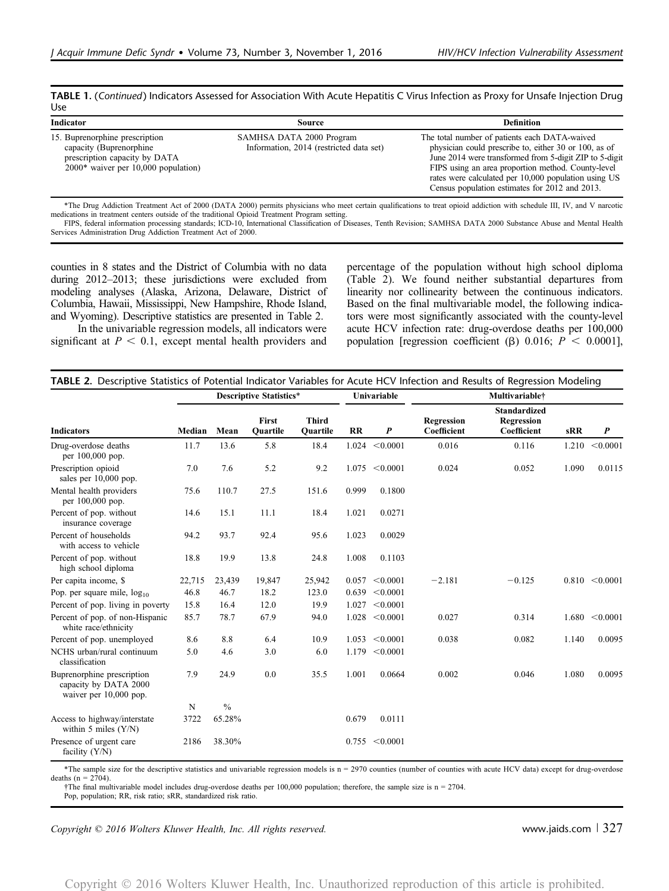|     | TABLE 1. (Continued) Indicators Assessed for Association With Acute Hepatitis C Virus Infection as Proxy for Unsafe Injection Drug |  |  |  |
|-----|------------------------------------------------------------------------------------------------------------------------------------|--|--|--|
| Use |                                                                                                                                    |  |  |  |

| Indicator                                                                                                                           | Source                                                              | <b>Definition</b>                                                                                                                                                                                                                                                                                                                |
|-------------------------------------------------------------------------------------------------------------------------------------|---------------------------------------------------------------------|----------------------------------------------------------------------------------------------------------------------------------------------------------------------------------------------------------------------------------------------------------------------------------------------------------------------------------|
| 15. Buprenorphine prescription<br>capacity (Buprenorphine<br>prescription capacity by DATA<br>$2000*$ waiver per 10,000 population) | SAMHSA DATA 2000 Program<br>Information, 2014 (restricted data set) | The total number of patients each DATA-waived<br>physician could prescribe to, either 30 or 100, as of<br>June 2014 were transformed from 5-digit ZIP to 5-digit<br>FIPS using an area proportion method. County-level<br>rates were calculated per 10,000 population using US<br>Census population estimates for 2012 and 2013. |

\*The Drug Addiction Treatment Act of 2000 (DATA 2000) permits physicians who meet certain qualifications to treat opioid addiction with schedule III, IV, and V narcotic medications in treatment centers outside of the traditional Opioid Treatment Program setting.

FIPS, federal information processing standards; ICD-10, International Classification of Diseases, Tenth Revision; SAMHSA DATA 2000 Substance Abuse and Mental Health Services Administration Drug Addiction Treatment Act of 2000.

counties in 8 states and the District of Columbia with no data during 2012–2013; these jurisdictions were excluded from modeling analyses (Alaska, Arizona, Delaware, District of Columbia, Hawaii, Mississippi, New Hampshire, Rhode Island, and Wyoming). Descriptive statistics are presented in Table 2.

In the univariable regression models, all indicators were significant at  $P < 0.1$ , except mental health providers and percentage of the population without high school diploma (Table 2). We found neither substantial departures from linearity nor collinearity between the continuous indicators. Based on the final multivariable model, the following indicators were most significantly associated with the county-level acute HCV infection rate: drug-overdose deaths per 100,000 population [regression coefficient ( $\beta$ ) 0.016;  $P < 0.0001$ ],

|                                                                               | <b>Descriptive Statistics*</b> |               |                   | Univariable              |       | Multivariable <sup>+</sup> |                           |                                                  |       |                    |
|-------------------------------------------------------------------------------|--------------------------------|---------------|-------------------|--------------------------|-------|----------------------------|---------------------------|--------------------------------------------------|-------|--------------------|
| <b>Indicators</b>                                                             | Median                         | Mean          | First<br>Quartile | <b>Third</b><br>Quartile | RR    | $\boldsymbol{P}$           | Regression<br>Coefficient | <b>Standardized</b><br>Regression<br>Coefficient | sRR   | $\boldsymbol{P}$   |
| Drug-overdose deaths<br>per 100,000 pop.                                      | 11.7                           | 13.6          | 5.8               | 18.4                     | 1.024 | < 0.0001                   | 0.016                     | 0.116                                            | 1.210 | < 0.0001           |
| Prescription opioid<br>sales per 10,000 pop.                                  | 7.0                            | 7.6           | 5.2               | 9.2                      | 1.075 | < 0.0001                   | 0.024                     | 0.052                                            | 1.090 | 0.0115             |
| Mental health providers<br>per 100,000 pop.                                   | 75.6                           | 110.7         | 27.5              | 151.6                    | 0.999 | 0.1800                     |                           |                                                  |       |                    |
| Percent of pop. without<br>insurance coverage                                 | 14.6                           | 15.1          | 11.1              | 18.4                     | 1.021 | 0.0271                     |                           |                                                  |       |                    |
| Percent of households<br>with access to vehicle                               | 94.2                           | 93.7          | 92.4              | 95.6                     | 1.023 | 0.0029                     |                           |                                                  |       |                    |
| Percent of pop. without<br>high school diploma                                | 18.8                           | 19.9          | 13.8              | 24.8                     | 1.008 | 0.1103                     |                           |                                                  |       |                    |
| Per capita income, \$                                                         | 22,715                         | 23,439        | 19,847            | 25,942                   | 0.057 | < 0.0001                   | $-2.181$                  | $-0.125$                                         |       | $0.810 \le 0.0001$ |
| Pop. per square mile, $log_{10}$                                              | 46.8                           | 46.7          | 18.2              | 123.0                    | 0.639 | < 0.0001                   |                           |                                                  |       |                    |
| Percent of pop. living in poverty                                             | 15.8                           | 16.4          | 12.0              | 19.9                     | 1.027 | < 0.0001                   |                           |                                                  |       |                    |
| Percent of pop. of non-Hispanic<br>white race/ethnicity                       | 85.7                           | 78.7          | 67.9              | 94.0                     |       | 1.028 < 0.0001             | 0.027                     | 0.314                                            | 1.680 | < 0.0001           |
| Percent of pop. unemployed                                                    | 8.6                            | 8.8           | 6.4               | 10.9                     |       | $1.053 \le 0.0001$         | 0.038                     | 0.082                                            | 1.140 | 0.0095             |
| NCHS urban/rural continuum<br>classification                                  | 5.0                            | 4.6           | 3.0               | 6.0                      | 1.179 | < 0.0001                   |                           |                                                  |       |                    |
| Buprenorphine prescription<br>capacity by DATA 2000<br>waiver per 10,000 pop. | 7.9                            | 24.9          | 0.0               | 35.5                     | 1.001 | 0.0664                     | 0.002                     | 0.046                                            | 1.080 | 0.0095             |
|                                                                               | N                              | $\frac{0}{0}$ |                   |                          |       |                            |                           |                                                  |       |                    |
| Access to highway/interstate<br>within 5 miles $(Y/N)$                        | 3722                           | 65.28%        |                   |                          | 0.679 | 0.0111                     |                           |                                                  |       |                    |
| Presence of urgent care<br>facility $(Y/N)$                                   | 2186                           | 38.30%        |                   |                          |       | $0.755 \le 0.0001$         |                           |                                                  |       |                    |

\*The sample size for the descriptive statistics and univariable regression models is n = 2970 counties (number of counties with acute HCV data) except for drug-overdose deaths ( $n = 2704$ ).

†The final multivariable model includes drug-overdose deaths per 100,000 population; therefore, the sample size is n = 2704. Pop, population; RR, risk ratio; sRR, standardized risk ratio.

Copyright  $\odot$  2016 Wolters Kluwer Health, Inc. All rights reserved. www.jaids.com | 327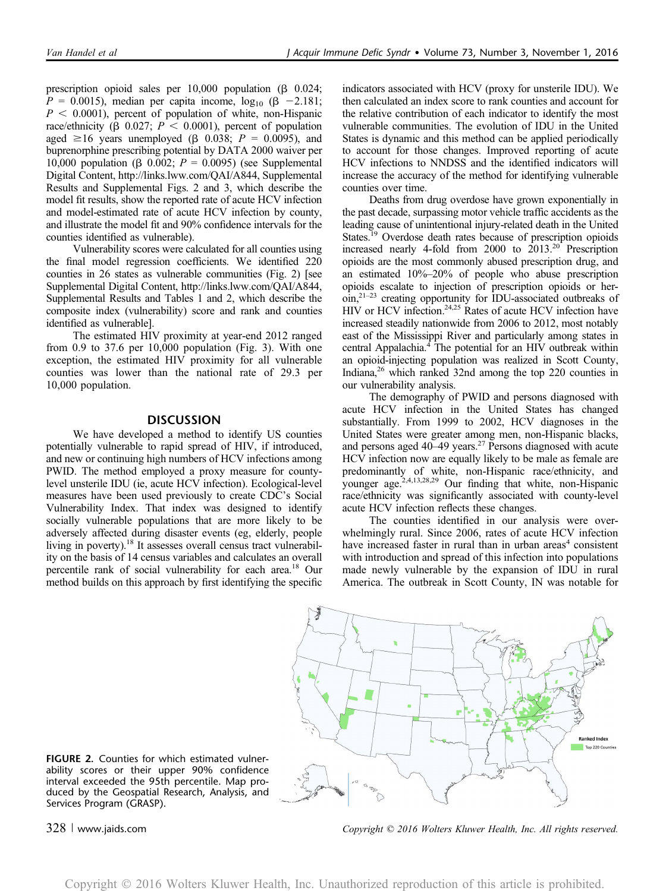prescription opioid sales per  $10,000$  population ( $\beta$  0.024;  $P = 0.0015$ ), median per capita income,  $log_{10} (\beta - 2.181)$ ;  $P < 0.0001$ ), percent of population of white, non-Hispanic race/ethnicity ( $\beta$  0.027;  $P < 0.0001$ ), percent of population aged  $\geq 16$  years unemployed ( $\beta$  0.038;  $P = 0.0095$ ), and buprenorphine prescribing potential by DATA 2000 waiver per 10,000 population ( $\beta$  0.002;  $P = 0.0095$ ) (see Supplemental Digital Content,<http://links.lww.com/QAI/A844>, Supplemental Results and Supplemental Figs. 2 and 3, which describe the model fit results, show the reported rate of acute HCV infection and model-estimated rate of acute HCV infection by county, and illustrate the model fit and 90% confidence intervals for the counties identified as vulnerable).

Vulnerability scores were calculated for all counties using the final model regression coefficients. We identified 220 counties in 26 states as vulnerable communities (Fig. 2) [see Supplemental Digital Content,<http://links.lww.com/QAI/A844>, Supplemental Results and Tables 1 and 2, which describe the composite index (vulnerability) score and rank and counties identified as vulnerable].

The estimated HIV proximity at year-end 2012 ranged from 0.9 to 37.6 per 10,000 population (Fig. 3). With one exception, the estimated HIV proximity for all vulnerable counties was lower than the national rate of 29.3 per 10,000 population.

# **DISCUSSION**

We have developed a method to identify US counties potentially vulnerable to rapid spread of HIV, if introduced, and new or continuing high numbers of HCV infections among PWID. The method employed a proxy measure for countylevel unsterile IDU (ie, acute HCV infection). Ecological-level measures have been used previously to create CDC's Social Vulnerability Index. That index was designed to identify socially vulnerable populations that are more likely to be adversely affected during disaster events (eg, elderly, people living in poverty).18 It assesses overall census tract vulnerability on the basis of 14 census variables and calculates an overall percentile rank of social vulnerability for each area.18 Our method builds on this approach by first identifying the specific

indicators associated with HCV (proxy for unsterile IDU). We then calculated an index score to rank counties and account for the relative contribution of each indicator to identify the most vulnerable communities. The evolution of IDU in the United States is dynamic and this method can be applied periodically to account for those changes. Improved reporting of acute HCV infections to NNDSS and the identified indicators will increase the accuracy of the method for identifying vulnerable counties over time.

Deaths from drug overdose have grown exponentially in the past decade, surpassing motor vehicle traffic accidents as the leading cause of unintentional injury-related death in the United States.<sup>19</sup> Overdose death rates because of prescription opioids increased nearly 4-fold from 2000 to 2013.20 Prescription opioids are the most commonly abused prescription drug, and an estimated 10%–20% of people who abuse prescription opioids escalate to injection of prescription opioids or heroin,21–<sup>23</sup> creating opportunity for IDU-associated outbreaks of HIV or HCV infection.<sup>24,25</sup> Rates of acute HCV infection have increased steadily nationwide from 2006 to 2012, most notably east of the Mississippi River and particularly among states in central Appalachia.4 The potential for an HIV outbreak within an opioid-injecting population was realized in Scott County, Indiana,26 which ranked 32nd among the top 220 counties in our vulnerability analysis.

The demography of PWID and persons diagnosed with acute HCV infection in the United States has changed substantially. From 1999 to 2002, HCV diagnoses in the United States were greater among men, non-Hispanic blacks, and persons aged 40–49 years.<sup>27</sup> Persons diagnosed with acute HCV infection now are equally likely to be male as female are predominantly of white, non-Hispanic race/ethnicity, and younger age.<sup>2,4,13,28,29</sup> Our finding that white, non-Hispanic race/ethnicity was significantly associated with county-level acute HCV infection reflects these changes.

The counties identified in our analysis were overwhelmingly rural. Since 2006, rates of acute HCV infection have increased faster in rural than in urban areas<sup>4</sup> consistent with introduction and spread of this infection into populations made newly vulnerable by the expansion of IDU in rural America. The outbreak in Scott County, IN was notable for



FIGURE 2. Counties for which estimated vulnerability scores or their upper 90% confidence interval exceeded the 95th percentile. Map produced by the Geospatial Research, Analysis, and Services Program (GRASP).

328 <sup>|</sup> www.jaids.com Copyright © 2016 Wolters Kluwer Health, Inc. All rights reserved.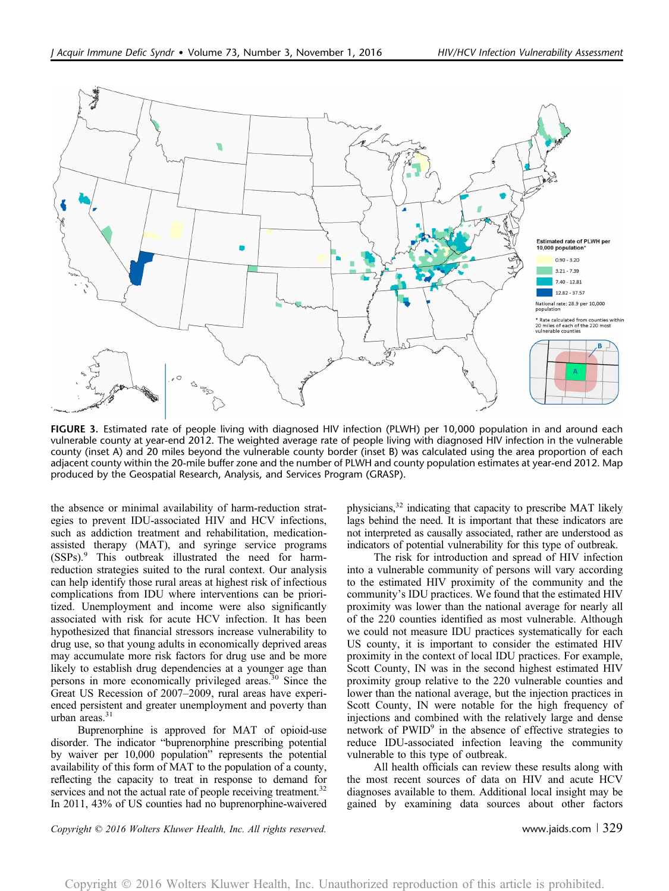

FIGURE 3. Estimated rate of people living with diagnosed HIV infection (PLWH) per 10,000 population in and around each vulnerable county at year-end 2012. The weighted average rate of people living with diagnosed HIV infection in the vulnerable county (inset A) and 20 miles beyond the vulnerable county border (inset B) was calculated using the area proportion of each adjacent county within the 20-mile buffer zone and the number of PLWH and county population estimates at year-end 2012. Map produced by the Geospatial Research, Analysis, and Services Program (GRASP).

the absence or minimal availability of harm-reduction strategies to prevent IDU-associated HIV and HCV infections, such as addiction treatment and rehabilitation, medicationassisted therapy (MAT), and syringe service programs (SSPs).<sup>9</sup> This outbreak illustrated the need for harmreduction strategies suited to the rural context. Our analysis can help identify those rural areas at highest risk of infectious complications from IDU where interventions can be prioritized. Unemployment and income were also significantly associated with risk for acute HCV infection. It has been hypothesized that financial stressors increase vulnerability to drug use, so that young adults in economically deprived areas may accumulate more risk factors for drug use and be more likely to establish drug dependencies at a younger age than persons in more economically privileged areas.<sup>30</sup> Since the Great US Recession of 2007–2009, rural areas have experienced persistent and greater unemployment and poverty than urban areas.<sup>31</sup>

Buprenorphine is approved for MAT of opioid-use disorder. The indicator "buprenorphine prescribing potential by waiver per 10,000 population" represents the potential availability of this form of MAT to the population of a county, reflecting the capacity to treat in response to demand for services and not the actual rate of people receiving treatment.<sup>32</sup> In 2011, 43% of US counties had no buprenorphine-waivered physicians,<sup>32</sup> indicating that capacity to prescribe MAT likely lags behind the need. It is important that these indicators are not interpreted as causally associated, rather are understood as indicators of potential vulnerability for this type of outbreak.

The risk for introduction and spread of HIV infection into a vulnerable community of persons will vary according to the estimated HIV proximity of the community and the community's IDU practices. We found that the estimated HIV proximity was lower than the national average for nearly all of the 220 counties identified as most vulnerable. Although we could not measure IDU practices systematically for each US county, it is important to consider the estimated HIV proximity in the context of local IDU practices. For example, Scott County, IN was in the second highest estimated HIV proximity group relative to the 220 vulnerable counties and lower than the national average, but the injection practices in Scott County, IN were notable for the high frequency of injections and combined with the relatively large and dense network of PWID<sup>9</sup> in the absence of effective strategies to reduce IDU-associated infection leaving the community vulnerable to this type of outbreak.

All health officials can review these results along with the most recent sources of data on HIV and acute HCV diagnoses available to them. Additional local insight may be gained by examining data sources about other factors

Copyright © 2016 Wolters Kluwer Health, Inc. All rights reserved. www.jaids.com <sup>|</sup> 329

Copyright 2016 Wolters Kluwer Health, Inc. Unauthorized reproduction of this article is prohibited.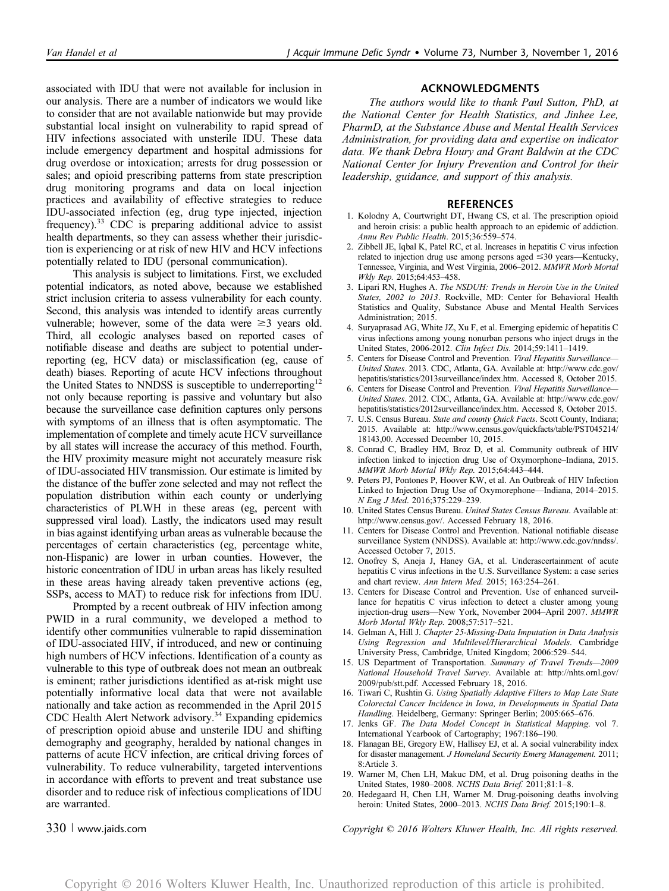associated with IDU that were not available for inclusion in our analysis. There are a number of indicators we would like to consider that are not available nationwide but may provide substantial local insight on vulnerability to rapid spread of HIV infections associated with unsterile IDU. These data include emergency department and hospital admissions for drug overdose or intoxication; arrests for drug possession or sales; and opioid prescribing patterns from state prescription drug monitoring programs and data on local injection practices and availability of effective strategies to reduce IDU-associated infection (eg, drug type injected, injection frequency).<sup>33</sup> CDC is preparing additional advice to assist health departments, so they can assess whether their jurisdiction is experiencing or at risk of new HIV and HCV infections potentially related to IDU (personal communication).

This analysis is subject to limitations. First, we excluded potential indicators, as noted above, because we established strict inclusion criteria to assess vulnerability for each county. Second, this analysis was intended to identify areas currently vulnerable; however, some of the data were  $\geq 3$  years old. Third, all ecologic analyses based on reported cases of notifiable disease and deaths are subject to potential underreporting (eg, HCV data) or misclassification (eg, cause of death) biases. Reporting of acute HCV infections throughout the United States to NNDSS is susceptible to underreporting<sup>12</sup> not only because reporting is passive and voluntary but also because the surveillance case definition captures only persons with symptoms of an illness that is often asymptomatic. The implementation of complete and timely acute HCV surveillance by all states will increase the accuracy of this method. Fourth, the HIV proximity measure might not accurately measure risk of IDU-associated HIV transmission. Our estimate is limited by the distance of the buffer zone selected and may not reflect the population distribution within each county or underlying characteristics of PLWH in these areas (eg, percent with suppressed viral load). Lastly, the indicators used may result in bias against identifying urban areas as vulnerable because the percentages of certain characteristics (eg, percentage white, non-Hispanic) are lower in urban counties. However, the historic concentration of IDU in urban areas has likely resulted in these areas having already taken preventive actions (eg, SSPs, access to MAT) to reduce risk for infections from IDU.

Prompted by a recent outbreak of HIV infection among PWID in a rural community, we developed a method to identify other communities vulnerable to rapid dissemination of IDU-associated HIV, if introduced, and new or continuing high numbers of HCV infections. Identification of a county as vulnerable to this type of outbreak does not mean an outbreak is eminent; rather jurisdictions identified as at-risk might use potentially informative local data that were not available nationally and take action as recommended in the April 2015 CDC Health Alert Network advisory.<sup>34</sup> Expanding epidemics of prescription opioid abuse and unsterile IDU and shifting demography and geography, heralded by national changes in patterns of acute HCV infection, are critical driving forces of vulnerability. To reduce vulnerability, targeted interventions in accordance with efforts to prevent and treat substance use disorder and to reduce risk of infectious complications of IDU are warranted.

### ACKNOWLEDGMENTS

The authors would like to thank Paul Sutton, PhD, at the National Center for Health Statistics, and Jinhee Lee, PharmD, at the Substance Abuse and Mental Health Services Administration, for providing data and expertise on indicator data. We thank Debra Houry and Grant Baldwin at the CDC National Center for Injury Prevention and Control for their leadership, guidance, and support of this analysis.

#### REFERENCES

- 1. Kolodny A, Courtwright DT, Hwang CS, et al. The prescription opioid and heroin crisis: a public health approach to an epidemic of addiction. Annu Rev Public Health. 2015;36:559–574.
- 2. Zibbell JE, Iqbal K, Patel RC, et al. Increases in hepatitis C virus infection related to injection drug use among persons aged  $\leq$  30 years—Kentucky, Tennessee, Virginia, and West Virginia, 2006–2012. MMWR Morb Mortal Wkly Rep. 2015;64:453–458.
- 3. Lipari RN, Hughes A. The NSDUH: Trends in Heroin Use in the United States, 2002 to 2013. Rockville, MD: Center for Behavioral Health Statistics and Quality, Substance Abuse and Mental Health Services Administration; 2015.
- 4. Suryaprasad AG, White JZ, Xu F, et al. Emerging epidemic of hepatitis C virus infections among young nonurban persons who inject drugs in the United States, 2006-2012. Clin Infect Dis. 2014;59:1411–1419.
- 5. Centers for Disease Control and Prevention. Viral Hepatitis Surveillance-United States. 2013. CDC, Atlanta, GA. Available at: [http://www.cdc.gov/](http://www.cdc.gov/hepatitis/statistics/2013surveillance/index.htm) [hepatitis/statistics/2013surveillance/index.htm.](http://www.cdc.gov/hepatitis/statistics/2013surveillance/index.htm) Accessed 8, October 2015.
- 6. Centers for Disease Control and Prevention. Viral Hepatitis Surveillance— United States. 2012. CDC, Atlanta, GA. Available at: [http://www.cdc.gov/](http://www.cdc.gov/hepatitis/statistics/2012surveillance/index.htm) [hepatitis/statistics/2012surveillance/index.htm.](http://www.cdc.gov/hepatitis/statistics/2012surveillance/index.htm) Accessed 8, October 2015.
- 7. U.S. Census Bureau. State and county Quick Facts. Scott County, Indiana; 2015. Available at: [http://www.census.gov/quickfacts/table/PST045214/](http://www.census.gov/quickfacts/table/PST045214/18143,00) [18143,00.](http://www.census.gov/quickfacts/table/PST045214/18143,00) Accessed December 10, 2015.
- 8. Conrad C, Bradley HM, Broz D, et al. Community outbreak of HIV infection linked to injection drug Use of Oxymorphone–Indiana, 2015. MMWR Morb Mortal Wkly Rep. 2015;64:443–444.
- 9. Peters PJ, Pontones P, Hoover KW, et al. An Outbreak of HIV Infection Linked to Injection Drug Use of Oxymorephone—Indiana, 2014–2015. N Eng J Med. 2016;375:229–239.
- 10. United States Census Bureau. United States Census Bureau. Available at: [http://www.census.gov/.](http://www.census.gov/) Accessed February 18, 2016.
- 11. Centers for Disease Control and Prevention. National notifiable disease surveillance System (NNDSS). Available at:<http://www.cdc.gov/nndss/>. Accessed October 7, 2015.
- 12. Onofrey S, Aneja J, Haney GA, et al. Underascertainment of acute hepatitis C virus infections in the U.S. Surveillance System: a case series and chart review. Ann Intern Med. 2015; 163:254–261.
- 13. Centers for Disease Control and Prevention. Use of enhanced surveillance for hepatitis C virus infection to detect a cluster among young injection-drug users—New York, November 2004–April 2007. MMWR Morb Mortal Wkly Rep. 2008;57:517–521.
- 14. Gelman A, Hill J. Chapter 25-Missing-Data Imputation in Data Analysis Using Regression and Multilevel/Hierarchical Models. Cambridge University Press, Cambridge, United Kingdom; 2006:529–544.
- 15. US Department of Transportation. Summary of Travel Trends—2009 National Household Travel Survey. Available at: [http://nhts.ornl.gov/](http://nhts.ornl.gov/2009/pub/stt.pdf) [2009/pub/stt.pdf.](http://nhts.ornl.gov/2009/pub/stt.pdf) Accessed February 18, 2016.
- 16. Tiwari C, Rushtin G. Using Spatially Adaptive Filters to Map Late State Colorectal Cancer Incidence in Iowa, in Developments in Spatial Data Handling. Heidelberg, Germany: Springer Berlin; 2005:665–676.
- 17. Jenks GF. The Data Model Concept in Statistical Mapping. vol 7. International Yearbook of Cartography; 1967:186–190.
- 18. Flanagan BE, Gregory EW, Hallisey EJ, et al. A social vulnerability index for disaster management. J Homeland Security Emerg Management. 2011; 8:Article 3.
- 19. Warner M, Chen LH, Makuc DM, et al. Drug poisoning deaths in the United States, 1980–2008. NCHS Data Brief. 2011;81:1–8.
- 20. Hedegaard H, Chen LH, Warner M. Drug-poisoning deaths involving heroin: United States, 2000-2013. NCHS Data Brief. 2015;190:1-8.

330 <sup>|</sup> www.jaids.com Copyright © 2016 Wolters Kluwer Health, Inc. All rights reserved.